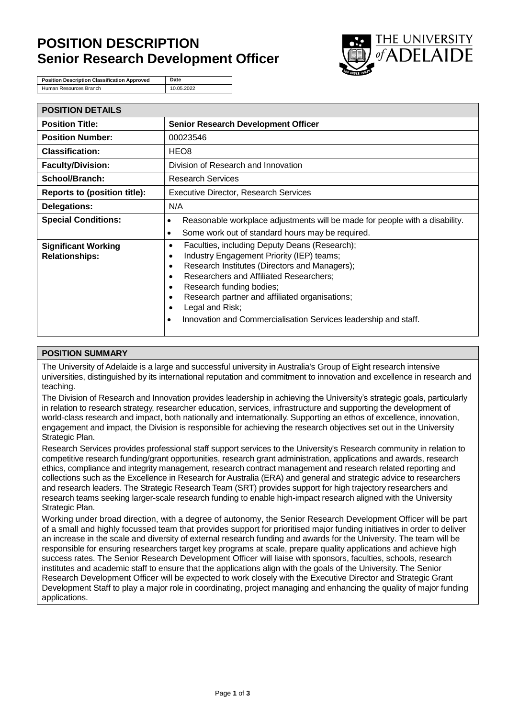# **POSITION DESCRIPTION Senior Research Development Officer**



**Position Description Classification Approved** Date Human Resources Branch 10.05.2022

| <b>POSITION DETAILS</b>                             |                                                                                                                                                                                                                                                                                                                                                                                                                                            |  |
|-----------------------------------------------------|--------------------------------------------------------------------------------------------------------------------------------------------------------------------------------------------------------------------------------------------------------------------------------------------------------------------------------------------------------------------------------------------------------------------------------------------|--|
| <b>Position Title:</b>                              | <b>Senior Research Development Officer</b>                                                                                                                                                                                                                                                                                                                                                                                                 |  |
| <b>Position Number:</b>                             | 00023546                                                                                                                                                                                                                                                                                                                                                                                                                                   |  |
| <b>Classification:</b>                              | HEO8                                                                                                                                                                                                                                                                                                                                                                                                                                       |  |
| <b>Faculty/Division:</b>                            | Division of Research and Innovation                                                                                                                                                                                                                                                                                                                                                                                                        |  |
| School/Branch:                                      | <b>Research Services</b>                                                                                                                                                                                                                                                                                                                                                                                                                   |  |
| <b>Reports to (position title):</b>                 | <b>Executive Director, Research Services</b>                                                                                                                                                                                                                                                                                                                                                                                               |  |
| <b>Delegations:</b>                                 | N/A                                                                                                                                                                                                                                                                                                                                                                                                                                        |  |
| <b>Special Conditions:</b>                          | Reasonable workplace adjustments will be made for people with a disability.<br>$\bullet$                                                                                                                                                                                                                                                                                                                                                   |  |
|                                                     | Some work out of standard hours may be required.<br>$\bullet$                                                                                                                                                                                                                                                                                                                                                                              |  |
| <b>Significant Working</b><br><b>Relationships:</b> | Faculties, including Deputy Deans (Research);<br>٠<br>Industry Engagement Priority (IEP) teams;<br>$\bullet$<br>Research Institutes (Directors and Managers);<br>$\bullet$<br>Researchers and Affiliated Researchers;<br>$\bullet$<br>Research funding bodies;<br>٠<br>Research partner and affiliated organisations;<br>$\bullet$<br>Legal and Risk;<br>٠<br>Innovation and Commercialisation Services leadership and staff.<br>$\bullet$ |  |

## **POSITION SUMMARY**

The University of Adelaide is a large and successful university in Australia's Group of Eight research intensive universities, distinguished by its international reputation and commitment to innovation and excellence in research and teaching.

The Division of Research and Innovation provides leadership in achieving the University's strategic goals, particularly in relation to research strategy, researcher education, services, infrastructure and supporting the development of world-class research and impact, both nationally and internationally. Supporting an ethos of excellence, innovation, engagement and impact, the Division is responsible for achieving the research objectives set out in the University Strategic Plan.

Research Services provides professional staff support services to the University's Research community in relation to competitive research funding/grant opportunities, research grant administration, applications and awards, research ethics, compliance and integrity management, research contract management and research related reporting and collections such as the Excellence in Research for Australia (ERA) and general and strategic advice to researchers and research leaders. The Strategic Research Team (SRT) provides support for high trajectory researchers and research teams seeking larger-scale research funding to enable high-impact research aligned with the University Strategic Plan.

Working under broad direction, with a degree of autonomy, the Senior Research Development Officer will be part of a small and highly focussed team that provides support for prioritised major funding initiatives in order to deliver an increase in the scale and diversity of external research funding and awards for the University. The team will be responsible for ensuring researchers target key programs at scale, prepare quality applications and achieve high success rates. The Senior Research Development Officer will liaise with sponsors, faculties, schools, research institutes and academic staff to ensure that the applications align with the goals of the University. The Senior Research Development Officer will be expected to work closely with the Executive Director and Strategic Grant Development Staff to play a major role in coordinating, project managing and enhancing the quality of major funding applications.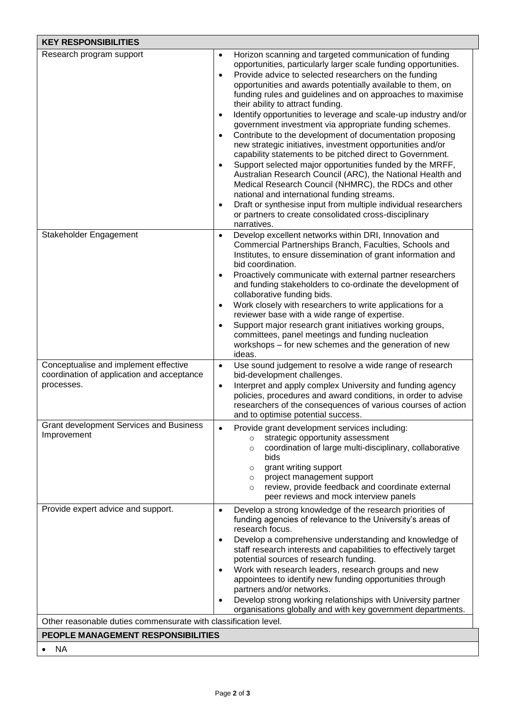| <b>KEY RESPONSIBILITIES</b>                                                                           |                                                                                                                                                                                                                                                                                                                                                                                                                                                                                                                                                                                                                                                                                                                                                                                                                                                                                                                                                                                                                                                                                                                     |  |
|-------------------------------------------------------------------------------------------------------|---------------------------------------------------------------------------------------------------------------------------------------------------------------------------------------------------------------------------------------------------------------------------------------------------------------------------------------------------------------------------------------------------------------------------------------------------------------------------------------------------------------------------------------------------------------------------------------------------------------------------------------------------------------------------------------------------------------------------------------------------------------------------------------------------------------------------------------------------------------------------------------------------------------------------------------------------------------------------------------------------------------------------------------------------------------------------------------------------------------------|--|
| Research program support                                                                              | Horizon scanning and targeted communication of funding<br>$\bullet$<br>opportunities, particularly larger scale funding opportunities.<br>Provide advice to selected researchers on the funding<br>$\bullet$<br>opportunities and awards potentially available to them, on<br>funding rules and guidelines and on approaches to maximise<br>their ability to attract funding.<br>Identify opportunities to leverage and scale-up industry and/or<br>$\bullet$<br>government investment via appropriate funding schemes.<br>Contribute to the development of documentation proposing<br>$\bullet$<br>new strategic initiatives, investment opportunities and/or<br>capability statements to be pitched direct to Government.<br>Support selected major opportunities funded by the MRFF,<br>Australian Research Council (ARC), the National Health and<br>Medical Research Council (NHMRC), the RDCs and other<br>national and international funding streams.<br>Draft or synthesise input from multiple individual researchers<br>$\bullet$<br>or partners to create consolidated cross-disciplinary<br>narratives. |  |
| Stakeholder Engagement                                                                                | Develop excellent networks within DRI, Innovation and<br>$\bullet$<br>Commercial Partnerships Branch, Faculties, Schools and<br>Institutes, to ensure dissemination of grant information and<br>bid coordination.<br>Proactively communicate with external partner researchers<br>and funding stakeholders to co-ordinate the development of<br>collaborative funding bids.<br>Work closely with researchers to write applications for a<br>reviewer base with a wide range of expertise.<br>Support major research grant initiatives working groups,<br>$\bullet$<br>committees, panel meetings and funding nucleation<br>workshops – for new schemes and the generation of new<br>ideas.                                                                                                                                                                                                                                                                                                                                                                                                                          |  |
| Conceptualise and implement effective<br>coordination of application and acceptance<br>processes.     | Use sound judgement to resolve a wide range of research<br>$\bullet$<br>bid-development challenges.<br>Interpret and apply complex University and funding agency<br>$\bullet$<br>policies, procedures and award conditions, in order to advise<br>researchers of the consequences of various courses of action<br>and to optimise potential success.                                                                                                                                                                                                                                                                                                                                                                                                                                                                                                                                                                                                                                                                                                                                                                |  |
| <b>Grant development Services and Business</b><br>Improvement                                         | Provide grant development services including:<br>strategic opportunity assessment<br>$\circ$<br>coordination of large multi-disciplinary, collaborative<br>$\circ$<br>bids<br>grant writing support<br>$\circ$<br>project management support<br>$\circ$<br>review, provide feedback and coordinate external<br>$\circ$<br>peer reviews and mock interview panels                                                                                                                                                                                                                                                                                                                                                                                                                                                                                                                                                                                                                                                                                                                                                    |  |
| Provide expert advice and support.<br>Other reasonable duties commensurate with classification level. | Develop a strong knowledge of the research priorities of<br>$\bullet$<br>funding agencies of relevance to the University's areas of<br>research focus.<br>Develop a comprehensive understanding and knowledge of<br>$\bullet$<br>staff research interests and capabilities to effectively target<br>potential sources of research funding.<br>Work with research leaders, research groups and new<br>appointees to identify new funding opportunities through<br>partners and/or networks.<br>Develop strong working relationships with University partner<br>organisations globally and with key government departments.                                                                                                                                                                                                                                                                                                                                                                                                                                                                                           |  |
| PEOPLE MANAGEMENT RESPONSIBILITIES                                                                    |                                                                                                                                                                                                                                                                                                                                                                                                                                                                                                                                                                                                                                                                                                                                                                                                                                                                                                                                                                                                                                                                                                                     |  |
| <b>NA</b>                                                                                             |                                                                                                                                                                                                                                                                                                                                                                                                                                                                                                                                                                                                                                                                                                                                                                                                                                                                                                                                                                                                                                                                                                                     |  |